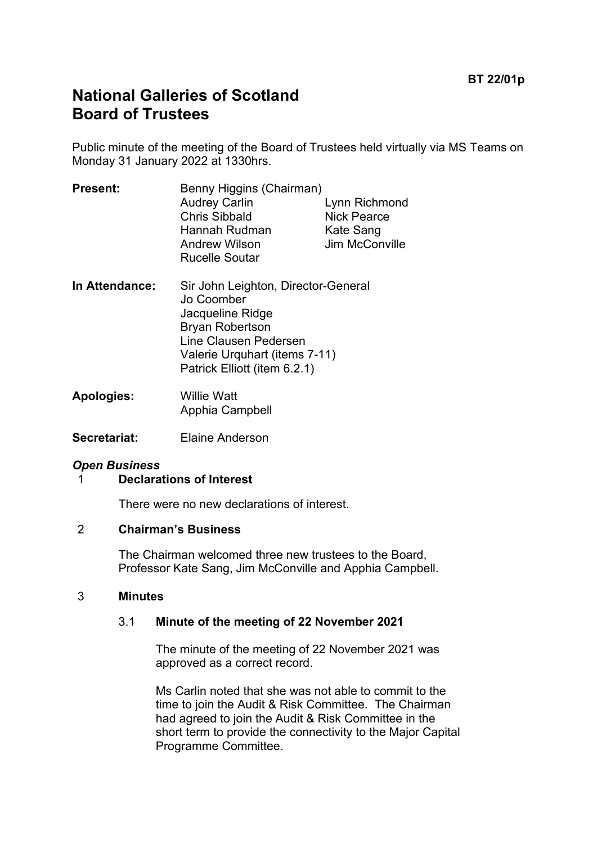# **National Galleries of Scotland Board of Trustees**

Public minute of the meeting of the Board of Trustees held virtually via MS Teams on Monday 31 January 2022 at 1330hrs.

| <b>Present:</b> | Benny Higgins (Chairman) |                    |
|-----------------|--------------------------|--------------------|
|                 | <b>Audrey Carlin</b>     | Lynn Richmond      |
|                 | <b>Chris Sibbald</b>     | <b>Nick Pearce</b> |
|                 | Hannah Rudman            | Kate Sang          |
|                 | <b>Andrew Wilson</b>     | Jim McConville     |
|                 | <b>Rucelle Soutar</b>    |                    |
|                 |                          |                    |

- **In Attendance:** Sir John Leighton, Director-General Jo Coomber Jacqueline Ridge Bryan Robertson Line Clausen Pedersen Valerie Urquhart (items 7-11) Patrick Elliott (item 6.2.1)
- **Apologies:** Willie Watt Apphia Campbell
- **Secretariat:** Elaine Anderson

# *Open Business*

1 **Declarations of Interest**

There were no new declarations of interest.

#### 2 **Chairman's Business**

The Chairman welcomed three new trustees to the Board, Professor Kate Sang, Jim McConville and Apphia Campbell.

#### 3 **Minutes**

# 3.1 **Minute of the meeting of 22 November 2021**

The minute of the meeting of 22 November 2021 was approved as a correct record.

Ms Carlin noted that she was not able to commit to the time to join the Audit & Risk Committee. The Chairman had agreed to join the Audit & Risk Committee in the short term to provide the connectivity to the Major Capital Programme Committee.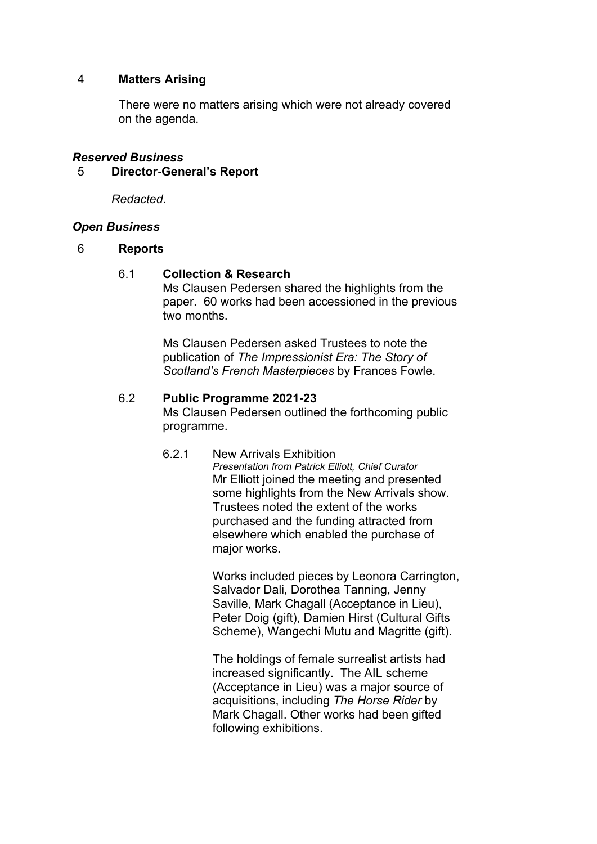# 4 **Matters Arising**

There were no matters arising which were not already covered on the agenda.

#### *Reserved Business*

#### 5 **Director-General's Report**

*Redacted.*

#### *Open Business*

#### 6 **Reports**

#### 6.1 **Collection & Research**

Ms Clausen Pedersen shared the highlights from the paper. 60 works had been accessioned in the previous two months.

Ms Clausen Pedersen asked Trustees to note the publication of *The Impressionist Era: The Story of Scotland's French Masterpieces* by Frances Fowle.

#### 6.2 **Public Programme 2021-23**

Ms Clausen Pedersen outlined the forthcoming public programme.

6.2.1 New Arrivals Exhibition *Presentation from Patrick Elliott, Chief Curator* Mr Elliott joined the meeting and presented some highlights from the New Arrivals show. Trustees noted the extent of the works purchased and the funding attracted from elsewhere which enabled the purchase of major works.

> Works included pieces by Leonora Carrington, Salvador Dali, Dorothea Tanning, Jenny Saville, Mark Chagall (Acceptance in Lieu), Peter Doig (gift), Damien Hirst (Cultural Gifts Scheme), Wangechi Mutu and Magritte (gift).

The holdings of female surrealist artists had increased significantly. The AIL scheme (Acceptance in Lieu) was a major source of acquisitions, including *The Horse Rider* by Mark Chagall. Other works had been gifted following exhibitions.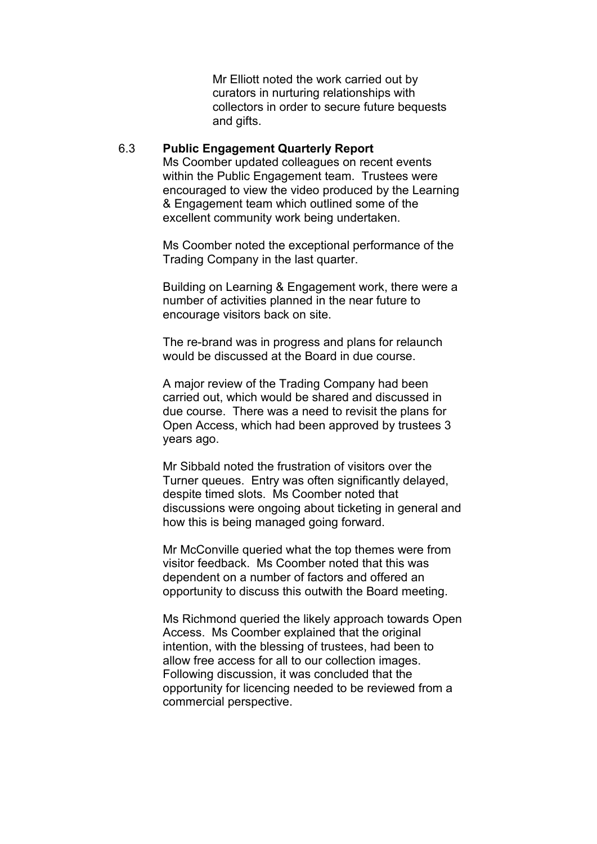Mr Elliott noted the work carried out by curators in nurturing relationships with collectors in order to secure future bequests and gifts.

#### 6.3 **Public Engagement Quarterly Report**

Ms Coomber updated colleagues on recent events within the Public Engagement team. Trustees were encouraged to view the video produced by the Learning & Engagement team which outlined some of the excellent community work being undertaken.

Ms Coomber noted the exceptional performance of the Trading Company in the last quarter.

Building on Learning & Engagement work, there were a number of activities planned in the near future to encourage visitors back on site.

The re-brand was in progress and plans for relaunch would be discussed at the Board in due course.

A major review of the Trading Company had been carried out, which would be shared and discussed in due course. There was a need to revisit the plans for Open Access, which had been approved by trustees 3 years ago.

Mr Sibbald noted the frustration of visitors over the Turner queues. Entry was often significantly delayed, despite timed slots. Ms Coomber noted that discussions were ongoing about ticketing in general and how this is being managed going forward.

Mr McConville queried what the top themes were from visitor feedback. Ms Coomber noted that this was dependent on a number of factors and offered an opportunity to discuss this outwith the Board meeting.

Ms Richmond queried the likely approach towards Open Access. Ms Coomber explained that the original intention, with the blessing of trustees, had been to allow free access for all to our collection images. Following discussion, it was concluded that the opportunity for licencing needed to be reviewed from a commercial perspective.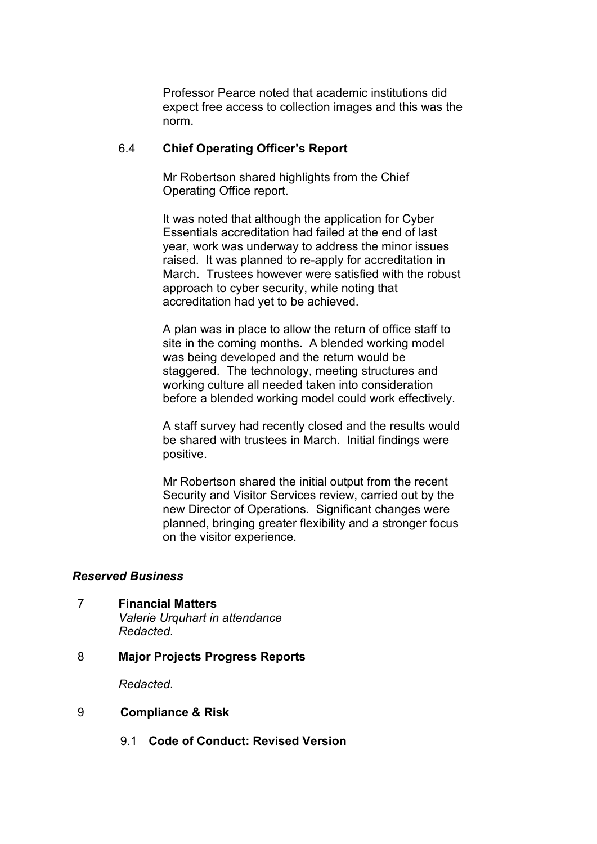Professor Pearce noted that academic institutions did expect free access to collection images and this was the norm.

#### 6.4 **Chief Operating Officer's Report**

Mr Robertson shared highlights from the Chief Operating Office report.

It was noted that although the application for Cyber Essentials accreditation had failed at the end of last year, work was underway to address the minor issues raised. It was planned to re-apply for accreditation in March. Trustees however were satisfied with the robust approach to cyber security, while noting that accreditation had yet to be achieved.

A plan was in place to allow the return of office staff to site in the coming months. A blended working model was being developed and the return would be staggered. The technology, meeting structures and working culture all needed taken into consideration before a blended working model could work effectively.

A staff survey had recently closed and the results would be shared with trustees in March. Initial findings were positive.

Mr Robertson shared the initial output from the recent Security and Visitor Services review, carried out by the new Director of Operations. Significant changes were planned, bringing greater flexibility and a stronger focus on the visitor experience.

# *Reserved Business*

- 7 **Financial Matters** *Valerie Urquhart in attendance Redacted.*
- 8 **Major Projects Progress Reports**

*Redacted.*

#### 9 **Compliance & Risk**

9.1 **Code of Conduct: Revised Version**